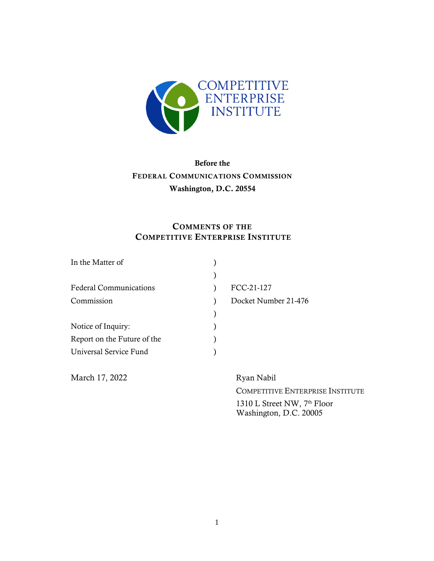

# Before the FEDERAL COMMUNICATIONS COMMISSION Washington, D.C. 20554

# COMMENTS OF THE COMPETITIVE ENTERPRISE INSTITUTE

| In the Matter of              |                      |
|-------------------------------|----------------------|
|                               |                      |
| <b>Federal Communications</b> | FCC-21-127           |
| Commission                    | Docket Number 21-476 |
|                               |                      |
| Notice of Inquiry:            |                      |
| Report on the Future of the   |                      |
| Universal Service Fund        |                      |
|                               |                      |

March 17, 2022 Ryan Nabil

COMPETITIVE ENTERPRISE INSTITUTE

1310 L Street NW, 7<sup>th</sup> Floor Washington, D.C. 20005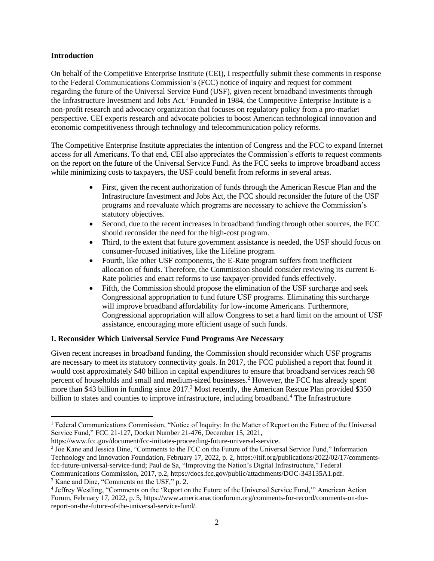#### **Introduction**

On behalf of the Competitive Enterprise Institute (CEI), I respectfully submit these comments in response to the Federal Communications Commission's (FCC) notice of inquiry and request for comment regarding the future of the Universal Service Fund (USF), given recent broadband investments through the Infrastructure Investment and Jobs Act.<sup>1</sup> Founded in 1984, the Competitive Enterprise Institute is a non-profit research and advocacy organization that focuses on regulatory policy from a pro-market perspective. CEI experts research and advocate policies to boost American technological innovation and economic competitiveness through technology and telecommunication policy reforms.

The Competitive Enterprise Institute appreciates the intention of Congress and the FCC to expand Internet access for all Americans. To that end, CEI also appreciates the Commission's efforts to request comments on the report on the future of the Universal Service Fund. As the FCC seeks to improve broadband access while minimizing costs to taxpayers, the USF could benefit from reforms in several areas.

- First, given the recent authorization of funds through the American Rescue Plan and the Infrastructure Investment and Jobs Act, the FCC should reconsider the future of the USF programs and reevaluate which programs are necessary to achieve the Commission's statutory objectives.
- Second, due to the recent increases in broadband funding through other sources, the FCC should reconsider the need for the high-cost program.
- Third, to the extent that future government assistance is needed, the USF should focus on consumer-focused initiatives, like the Lifeline program.
- Fourth, like other USF components, the E-Rate program suffers from inefficient allocation of funds. Therefore, the Commission should consider reviewing its current E-Rate policies and enact reforms to use taxpayer-provided funds effectively.
- Fifth, the Commission should propose the elimination of the USF surcharge and seek Congressional appropriation to fund future USF programs. Eliminating this surcharge will improve broadband affordability for low-income Americans. Furthermore, Congressional appropriation will allow Congress to set a hard limit on the amount of USF assistance, encouraging more efficient usage of such funds.

#### **I. Reconsider Which Universal Service Fund Programs Are Necessary**

Given recent increases in broadband funding, the Commission should reconsider which USF programs are necessary to meet its statutory connectivity goals. In 2017, the FCC published a report that found it would cost approximately \$40 billion in capital expenditures to ensure that broadband services reach 98 percent of households and small and medium-sized businesses.<sup>2</sup> However, the FCC has already spent more than \$43 billion in funding since 2017.<sup>3</sup> Most recently, the American Rescue Plan provided \$350 billion to states and counties to improve infrastructure, including broadband.<sup>4</sup> The Infrastructure

<sup>1</sup> Federal Communications Commission, "Notice of Inquiry: In the Matter of Report on the Future of the Universal Service Fund," FCC 21-127, Docket Number 21-476, December 15, 2021,

https://www.fcc.gov/document/fcc-initiates-proceeding-future-universal-service.

<sup>2</sup> Joe Kane and Jessica Dine, "Comments to the FCC on the Future of the Universal Service Fund," Information Technology and Innovation Foundation, February 17, 2022, p. 2, https://itif.org/publications/2022/02/17/commentsfcc-future-universal-service-fund; Paul de Sa, "Improving the Nation's Digital Infrastructure," Federal Communications Commission, 2017, p.2, https://docs.fcc.gov/public/attachments/DOC-343135A1.pdf.

<sup>3</sup> Kane and Dine, "Comments on the USF," p. 2.

<sup>&</sup>lt;sup>4</sup> Jeffrey Westling, "Comments on the 'Report on the Future of the Universal Service Fund," American Action Forum, February 17, 2022, p. 5, https://www.americanactionforum.org/comments-for-record/comments-on-thereport-on-the-future-of-the-universal-service-fund/.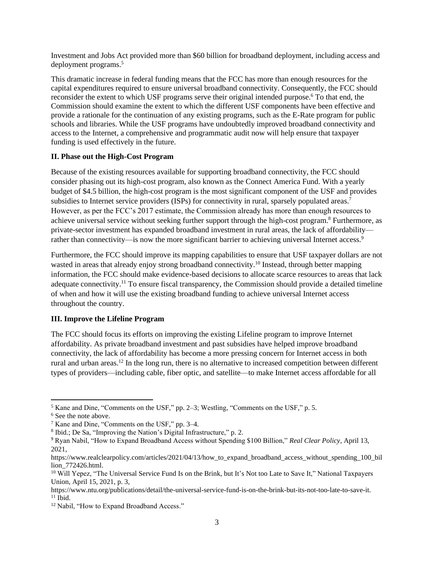Investment and Jobs Act provided more than \$60 billion for broadband deployment, including access and deployment programs.<sup>5</sup>

This dramatic increase in federal funding means that the FCC has more than enough resources for the capital expenditures required to ensure universal broadband connectivity. Consequently, the FCC should reconsider the extent to which USF programs serve their original intended purpose.<sup>6</sup> To that end, the Commission should examine the extent to which the different USF components have been effective and provide a rationale for the continuation of any existing programs, such as the E-Rate program for public schools and libraries. While the USF programs have undoubtedly improved broadband connectivity and access to the Internet, a comprehensive and programmatic audit now will help ensure that taxpayer funding is used effectively in the future.

#### **II. Phase out the High-Cost Program**

Because of the existing resources available for supporting broadband connectivity, the FCC should consider phasing out its high-cost program, also known as the Connect America Fund. With a yearly budget of \$4.5 billion, the high-cost program is the most significant component of the USF and provides subsidies to Internet service providers (ISPs) for connectivity in rural, sparsely populated areas.<sup>7</sup> However, as per the FCC's 2017 estimate, the Commission already has more than enough resources to achieve universal service without seeking further support through the high-cost program.<sup>8</sup> Furthermore, as private-sector investment has expanded broadband investment in rural areas, the lack of affordability rather than connectivity—is now the more significant barrier to achieving universal Internet access.<sup>9</sup>

Furthermore, the FCC should improve its mapping capabilities to ensure that USF taxpayer dollars are not wasted in areas that already enjoy strong broadband connectivity.<sup>10</sup> Instead, through better mapping information, the FCC should make evidence-based decisions to allocate scarce resources to areas that lack adequate connectivity.<sup>11</sup> To ensure fiscal transparency, the Commission should provide a detailed timeline of when and how it will use the existing broadband funding to achieve universal Internet access throughout the country.

#### **III. Improve the Lifeline Program**

The FCC should focus its efforts on improving the existing Lifeline program to improve Internet affordability. As private broadband investment and past subsidies have helped improve broadband connectivity, the lack of affordability has become a more pressing concern for Internet access in both rural and urban areas.<sup>12</sup> In the long run, there is no alternative to increased competition between different types of providers—including cable, fiber optic, and satellite—to make Internet access affordable for all

 $<sup>5</sup>$  Kane and Dine, "Comments on the USF," pp. 2–3; Westling, "Comments on the USF," p. 5.</sup>

<sup>&</sup>lt;sup>6</sup> See the note above.

<sup>7</sup> Kane and Dine, "Comments on the USF," pp. 3–4.

<sup>8</sup> Ibid.; De Sa, "Improving the Nation's Digital Infrastructure," p. 2.

<sup>9</sup> Ryan Nabil, "How to Expand Broadband Access without Spending \$100 Billion," *Real Clear Policy*, April 13, 2021,

https://www.realclearpolicy.com/articles/2021/04/13/how to expand broadband access without spending 100 bil lion\_772426.html.

<sup>&</sup>lt;sup>10</sup> Will Yepez, "The Universal Service Fund Is on the Brink, but It's Not too Late to Save It," National Taxpayers Union, April 15, 2021, p. 3,

https://www.ntu.org/publications/detail/the-universal-service-fund-is-on-the-brink-but-its-not-too-late-to-save-it.  $11$  Ibid.

<sup>&</sup>lt;sup>12</sup> Nabil, "How to Expand Broadband Access."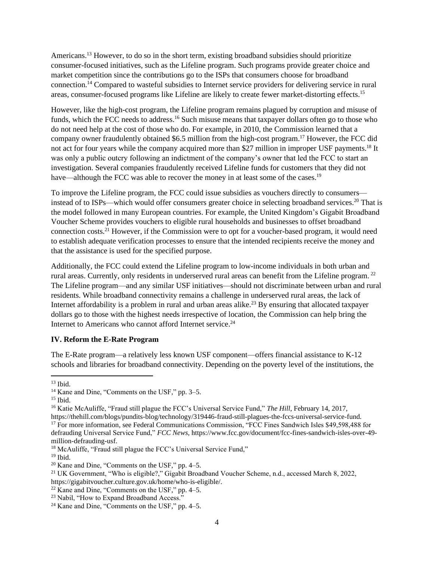Americans.<sup>13</sup> However, to do so in the short term, existing broadband subsidies should prioritize consumer-focused initiatives, such as the Lifeline program. Such programs provide greater choice and market competition since the contributions go to the ISPs that consumers choose for broadband connection.<sup>14</sup> Compared to wasteful subsidies to Internet service providers for delivering service in rural areas, consumer-focused programs like Lifeline are likely to create fewer market-distorting effects.<sup>15</sup>

However, like the high-cost program, the Lifeline program remains plagued by corruption and misuse of funds, which the FCC needs to address.<sup>16</sup> Such misuse means that taxpayer dollars often go to those who do not need help at the cost of those who do. For example, in 2010, the Commission learned that a company owner fraudulently obtained \$6.5 million from the high-cost program. <sup>17</sup> However, the FCC did not act for four years while the company acquired more than \$27 million in improper USF payments.<sup>18</sup> It was only a public outcry following an indictment of the company's owner that led the FCC to start an investigation. Several companies fraudulently received Lifeline funds for customers that they did not have—although the FCC was able to recover the money in at least some of the cases.<sup>19</sup>

To improve the Lifeline program, the FCC could issue subsidies as vouchers directly to consumers instead of to ISPs—which would offer consumers greater choice in selecting broadband services.<sup>20</sup> That is the model followed in many European countries. For example, the United Kingdom's Gigabit Broadband Voucher Scheme provides vouchers to eligible rural households and businesses to offset broadband connection costs.<sup>21</sup> However, if the Commission were to opt for a voucher-based program, it would need to establish adequate verification processes to ensure that the intended recipients receive the money and that the assistance is used for the specified purpose.

Additionally, the FCC could extend the Lifeline program to low-income individuals in both urban and rural areas. Currently, only residents in underserved rural areas can benefit from the Lifeline program. <sup>22</sup> The Lifeline program—and any similar USF initiatives—should not discriminate between urban and rural residents. While broadband connectivity remains a challenge in underserved rural areas, the lack of Internet affordability is a problem in rural and urban areas alike.<sup>23</sup> By ensuring that allocated taxpayer dollars go to those with the highest needs irrespective of location, the Commission can help bring the Internet to Americans who cannot afford Internet service. 24

#### **IV. Reform the E-Rate Program**

The E-Rate program—a relatively less known USF component—offers financial assistance to K-12 schools and libraries for broadband connectivity. Depending on the poverty level of the institutions, the

 $13$  Ibid.

<sup>14</sup> Kane and Dine, "Comments on the USF," pp. 3–5.

 $15$  Ibid.

<sup>16</sup> Katie McAuliffe, "Fraud still plague the FCC's Universal Service Fund," *The Hill*, February 14, 2017, https://thehill.com/blogs/pundits-blog/technology/319446-fraud-still-plagues-the-fccs-universal-service-fund.

<sup>&</sup>lt;sup>17</sup> For more information, see Federal Communications Commission, "FCC Fines Sandwich Isles \$49,598,488 for defrauding Universal Service Fund," *FCC News*, https://www.fcc.gov/document/fcc-fines-sandwich-isles-over-49 million-defrauding-usf.

<sup>&</sup>lt;sup>18</sup> McAuliffe, "Fraud still plague the FCC's Universal Service Fund,"

 $19$  Ibid.

<sup>20</sup> Kane and Dine, "Comments on the USF," pp. 4–5.

<sup>21</sup> UK Government, "Who is eligible?," Gigabit Broadband Voucher Scheme, n.d., accessed March 8, 2022, https://gigabitvoucher.culture.gov.uk/home/who-is-eligible/.

 $22$  Kane and Dine, "Comments on the USF," pp. 4–5.

<sup>&</sup>lt;sup>23</sup> Nabil, "How to Expand Broadband Access."

<sup>24</sup> Kane and Dine, "Comments on the USF," pp. 4–5.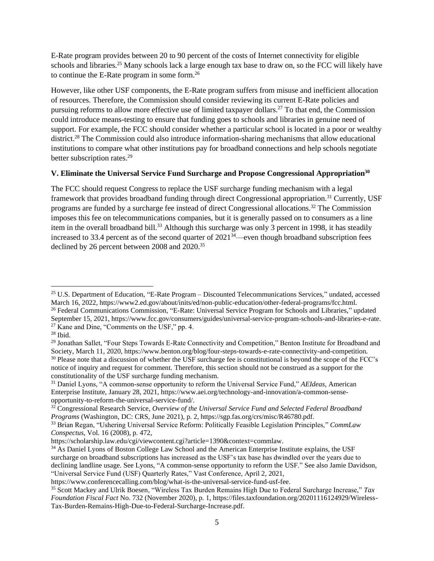E-Rate program provides between 20 to 90 percent of the costs of Internet connectivity for eligible schools and libraries.<sup>25</sup> Many schools lack a large enough tax base to draw on, so the FCC will likely have to continue the E-Rate program in some form.<sup>26</sup>

However, like other USF components, the E-Rate program suffers from misuse and inefficient allocation of resources. Therefore, the Commission should consider reviewing its current E-Rate policies and pursuing reforms to allow more effective use of limited taxpayer dollars.<sup>27</sup> To that end, the Commission could introduce means-testing to ensure that funding goes to schools and libraries in genuine need of support. For example, the FCC should consider whether a particular school is located in a poor or wealthy district.<sup>28</sup> The Commission could also introduce information-sharing mechanisms that allow educational institutions to compare what other institutions pay for broadband connections and help schools negotiate better subscription rates.<sup>29</sup>

### **V. Eliminate the Universal Service Fund Surcharge and Propose Congressional Appropriation<sup>30</sup>**

The FCC should request Congress to replace the USF surcharge funding mechanism with a legal framework that provides broadband funding through direct Congressional appropriation.<sup>31</sup> Currently, USF programs are funded by a surcharge fee instead of direct Congressional allocations.<sup>32</sup> The Commission imposes this fee on telecommunications companies, but it is generally passed on to consumers as a line item in the overall broadband bill.<sup>33</sup> Although this surcharge was only 3 percent in 1998, it has steadily increased to 33.4 percent as of the second quarter of  $2021^{34}$ —even though broadband subscription fees declined by 26 percent between 2008 and 2020.<sup>35</sup>

<sup>&</sup>lt;sup>25</sup> U.S. Department of Education, "E-Rate Program – Discounted Telecommunications Services," undated, accessed March 16, 2022, https://www2.ed.gov/about/inits/ed/non-public-education/other-federal-programs/fcc.html. <sup>26</sup> Federal Communications Commission, "E-Rate: Universal Service Program for Schools and Libraries," updated September 15, 2021, https://www.fcc.gov/consumers/guides/universal-service-program-schools-and-libraries-e-rate.

<sup>&</sup>lt;sup>27</sup> Kane and Dine, "Comments on the USF," pp. 4.

 $28$  Ibid.

<sup>&</sup>lt;sup>29</sup> Jonathan Sallet, "Four Steps Towards E-Rate Connectivity and Competition," Benton Institute for Broadband and Society, March 11, 2020, https://www.benton.org/blog/four-steps-towards-e-rate-connectivity-and-competition. <sup>30</sup> Please note that a discussion of whether the USF surcharge fee is constitutional is beyond the scope of the FCC's notice of inquiry and request for comment. Therefore, this section should not be construed as a support for the constitutionality of the USF surcharge funding mechanism.

<sup>31</sup> Daniel Lyons, "A common-sense opportunity to reform the Universal Service Fund," *AEIdeas*, American Enterprise Institute, January 28, 2021, https://www.aei.org/technology-and-innovation/a-common-senseopportunity-to-reform-the-universal-service-fund/.

<sup>32</sup> Congressional Research Service, *Overview of the Universal Service Fund and Selected Federal Broadband Programs* (Washington, DC: CRS, June 2021), p. 2, https://sgp.fas.org/crs/misc/R46780.pdf.

<sup>33</sup> Brian Regan, "Ushering Universal Service Reform: Politically Feasible Legislation Principles," *CommLaw Conspectus*, Vol. 16 (2008), p. 472,

https://scholarship.law.edu/cgi/viewcontent.cgi?article=1390&context=commlaw.

<sup>&</sup>lt;sup>34</sup> As Daniel Lyons of Boston College Law School and the American Enterprise Institute explains, the USF surcharge on broadband subscriptions has increased as the USF's tax base has dwindled over the years due to declining landline usage. See Lyons, "A common-sense opportunity to reform the USF." See also Jamie Davidson, "Universal Service Fund (USF) Quarterly Rates," Vast Conference, April 2, 2021,

[https://www.conferencecalling.com/blog/what-is-the-universal-service-fund-usf-fee.](https://www.conferencecalling.com/blog/what-is-the-universal-service-fund-usf-fee)

<sup>35</sup> Scott Mackey and Ulrik Boesen, "Wireless Tax Burden Remains High Due to Federal Surcharge Increase," *Tax Foundation Fiscal Fact* No. 732 (November 2020), p. 1, https://files.taxfoundation.org/20201116124929/Wireless-Tax-Burden-Remains-High-Due-to-Federal-Surcharge-Increase.pdf.